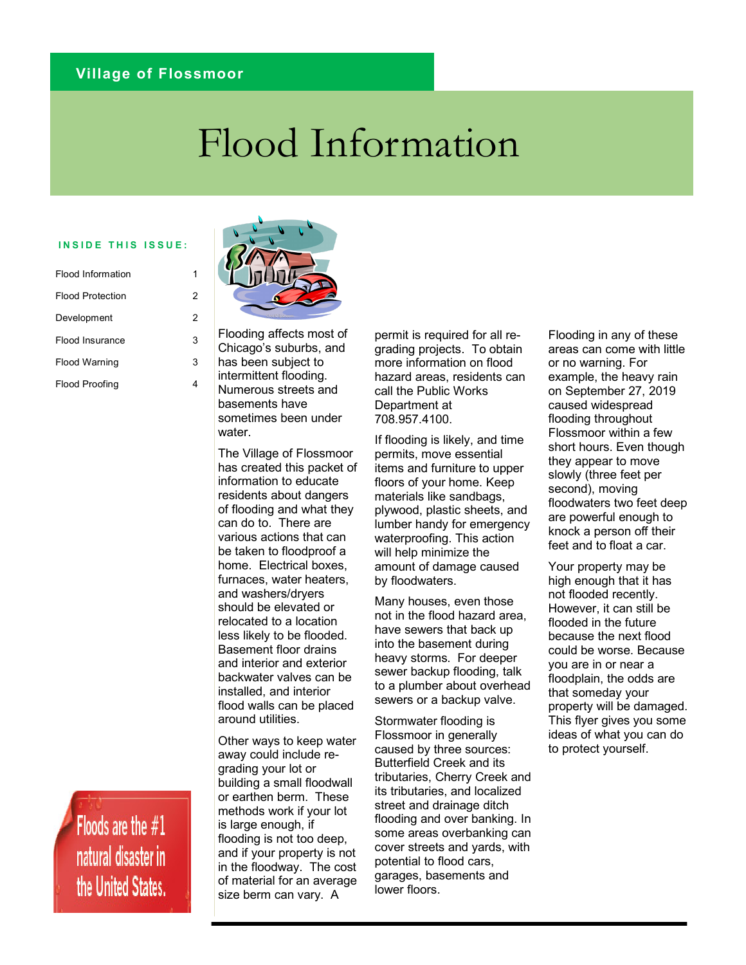### **Village of Flossmoor**

# Flood Information

#### **INSIDE THIS ISSUE:**

| Flood Information       |   |
|-------------------------|---|
| <b>Flood Protection</b> | 2 |
| Development             | 2 |
| Flood Insurance         | 3 |
| <b>Flood Warning</b>    | 3 |
| <b>Flood Proofing</b>   |   |

Flooding affects most of Chicago's suburbs, and has been subject to intermittent flooding.

Numerous streets and basements have sometimes been under water

The Village of Flossmoor has created this packet of information to educate residents about dangers of flooding and what they can do to. There are various actions that can be taken to floodproof a home. Electrical boxes, furnaces, water heaters, and washers/dryers should be elevated or relocated to a location less likely to be flooded. Basement floor drains and interior and exterior backwater valves can be installed, and interior flood walls can be placed around utilities.

Other ways to keep water away could include regrading your lot or building a small floodwall or earthen berm. These methods work if your lot is large enough, if flooding is not too deep, and if your property is not in the floodway. The cost of material for an average size berm can vary. A

permit is required for all regrading projects. To obtain more information on flood hazard areas, residents can call the Public Works Department at 708.957.4100.

If flooding is likely, and time permits, move essential items and furniture to upper floors of your home. Keep materials like sandbags, plywood, plastic sheets, and lumber handy for emergency waterproofing. This action will help minimize the amount of damage caused by floodwaters.

Many houses, even those not in the flood hazard area, have sewers that back up into the basement during heavy storms. For deeper sewer backup flooding, talk to a plumber about overhead sewers or a backup valve.

Stormwater flooding is Flossmoor in generally caused by three sources: Butterfield Creek and its tributaries, Cherry Creek and its tributaries, and localized street and drainage ditch flooding and over banking. In some areas overbanking can cover streets and yards, with potential to flood cars, garages, basements and lower floors.

Flooding in any of these areas can come with little or no warning. For example, the heavy rain on September 27, 2019 caused widespread flooding throughout Flossmoor within a few short hours. Even though they appear to move slowly (three feet per second), moving floodwaters two feet deep are powerful enough to knock a person off their feet and to float a car.

Your property may be high enough that it has not flooded recently. However, it can still be flooded in the future because the next flood could be worse. Because you are in or near a floodplain, the odds are that someday your property will be damaged. This flyer gives you some ideas of what you can do to protect yourself.

Floods are the  $#1$ natural disaster in the United States.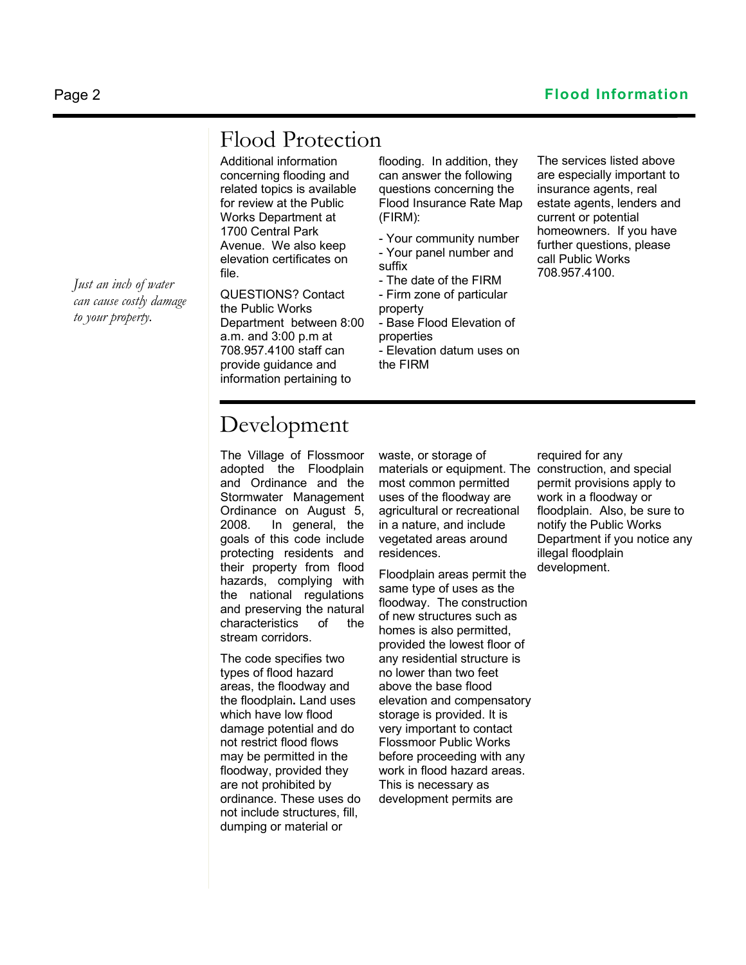# Flood Protection

Additional information concerning flooding and related topics is available for review at the Public Works Department at 1700 Central Park Avenue. We also keep elevation certificates on file.

QUESTIONS? Contact the Public Works Department between 8:00 a.m. and 3:00 p.m at 708.957.4100 staff can provide guidance and information pertaining to

flooding. In addition, they can answer the following questions concerning the Flood Insurance Rate Map (FIRM):

- Your community number - Your panel number and suffix

- The date of the FIRM

- Firm zone of particular property

- Base Flood Elevation of properties

- Elevation datum uses on the FIRM

The services listed above are especially important to insurance agents, real estate agents, lenders and current or potential homeowners. If you have further questions, please call Public Works 708.957.4100.

## Development

The Village of Flossmoor adopted the Floodplain and Ordinance and the Stormwater Management Ordinance on August 5, 2008. In general, the goals of this code include protecting residents and their property from flood hazards, complying with the national regulations and preserving the natural characteristics of the stream corridors.

The code specifies two types of flood hazard areas, the floodway and the floodplain**.** Land uses which have low flood damage potential and do not restrict flood flows may be permitted in the floodway, provided they are not prohibited by ordinance. These uses do not include structures, fill, dumping or material or

waste, or storage of materials or equipment. The construction, and special most common permitted uses of the floodway are agricultural or recreational in a nature, and include vegetated areas around residences.

Floodplain areas permit the same type of uses as the floodway. The construction of new structures such as homes is also permitted, provided the lowest floor of any residential structure is no lower than two feet above the base flood elevation and compensatory storage is provided. It is very important to contact Flossmoor Public Works before proceeding with any work in flood hazard areas. This is necessary as development permits are

required for any permit provisions apply to work in a floodway or floodplain. Also, be sure to notify the Public Works Department if you notice any illegal floodplain development.

*Just an inch of water can cause costly damage to your property.*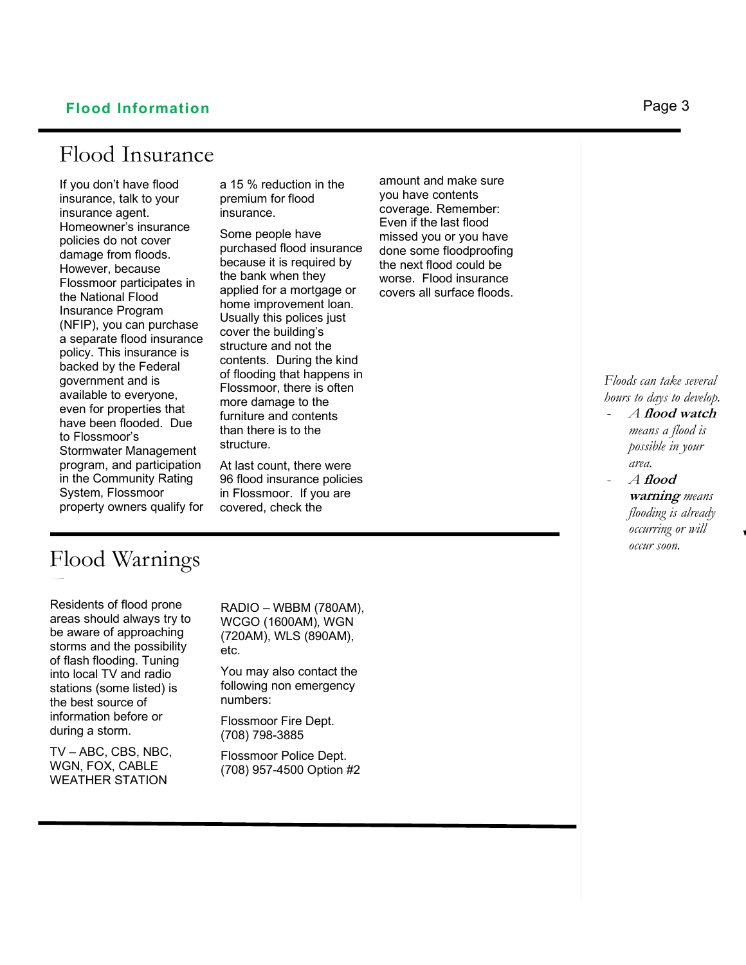### **Flood Information** Page 3

### Flood Insurance

If you don't have flood insurance, talk to your insurance agent. Homeowner's insurance policies do not cover damage from floods. However, because Flossmoor participates in the National Flood Insurance Program (NFIP), you can purchase a separate flood insurance policy. This insurance is backed by the Federal government and is available to everyone, even for properties that have been flooded. Due to Flossmoor's Stormwater Management program, and participation in the Community Rating System, Flossmoor property owners qualify for a 15 % reduction in the premium for flood insurance.

Some people have purchased flood insurance because it is required by the bank when they applied for a mortgage or home improvement loan. Usually this polices just cover the building's structure and not the contents. During the kind of flooding that happens in Flossmoor, there is often more damage to the furniture and contents than there is to the structure.

At last count, there were 96 flood insurance policies in Flossmoor. If you are covered, check the

# Flood Warnings

Residents of flood prone F areas should always try to be aware of approaching storms and the possibility of flash flooding. Tuning into local TV and radio stations (some listed) is the best source of information before or during a storm.

TV – ABC, CBS, NBC, WGN, FOX, CABLE WEATHER STATION

RADIO – WBBM (780AM), WCGO (1600AM), WGN (720AM), WLS (890AM), etc.

You may also contact the following non emergency numbers:

Flossmoor Fire Dept. (708) 798-3885

Flossmoor Police Dept. (708) 957-4500 Option #2

amount and make sure you have contents coverage. Remember: Even if the last flood missed you or you have done some floodproofing the next flood could be worse. Flood insurance covers all surface floods.

### *Floods can take several hours to days to develop.*

- *A* **flood watch** *means a flood is possible in your area.*
- *A* **flood warning** *means flooding is already occurring or will occur soon.*